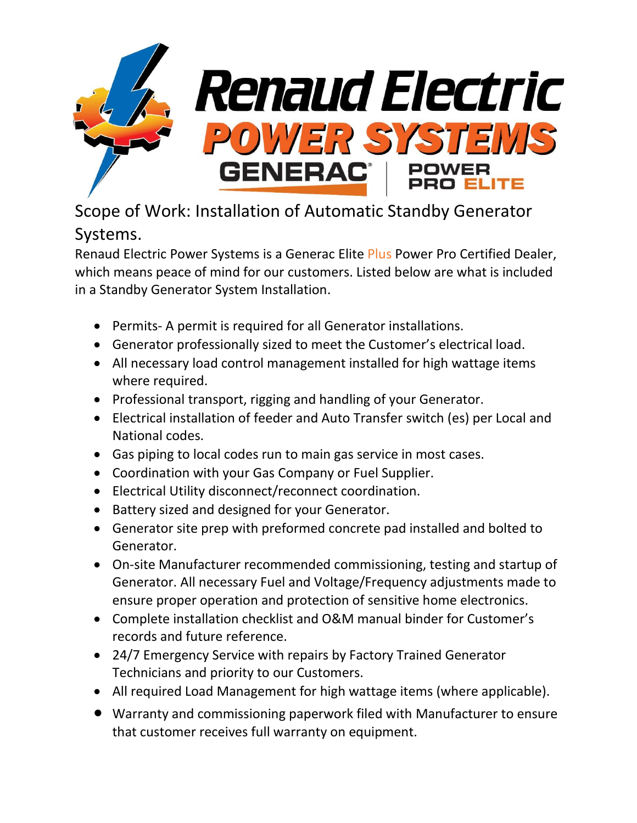

## Scope of Work: Installation of Automatic Standby Generator Systems.

Renaud Electric Power Systems is a Generac Elite Plus Power Pro Certified Dealer, which means peace of mind for our customers. Listed below are what is included in a Standby Generator System Installation.

- Permits- A permit is required for all Generator installations.
- Generator professionally sized to meet the Customer's electrical load.
- All necessary load control management installed for high wattage items where required.
- Professional transport, rigging and handling of your Generator.
- Electrical installation of feeder and Auto Transfer switch (es) per Local and National codes.
- Gas piping to local codes run to main gas service in most cases.
- Coordination with your Gas Company or Fuel Supplier.
- Electrical Utility disconnect/reconnect coordination.
- Battery sized and designed for your Generator.
- Generator site prep with preformed concrete pad installed and bolted to Generator.
- On-site Manufacturer recommended commissioning, testing and startup of Generator. All necessary Fuel and Voltage/Frequency adjustments made to ensure proper operation and protection of sensitive home electronics.
- Complete installation checklist and O&M manual binder for Customer's records and future reference.
- 24/7 Emergency Service with repairs by Factory Trained Generator Technicians and priority to our Customers.
- All required Load Management for high wattage items (where applicable).
- Warranty and commissioning paperwork filed with Manufacturer to ensure that customer receives full warranty on equipment.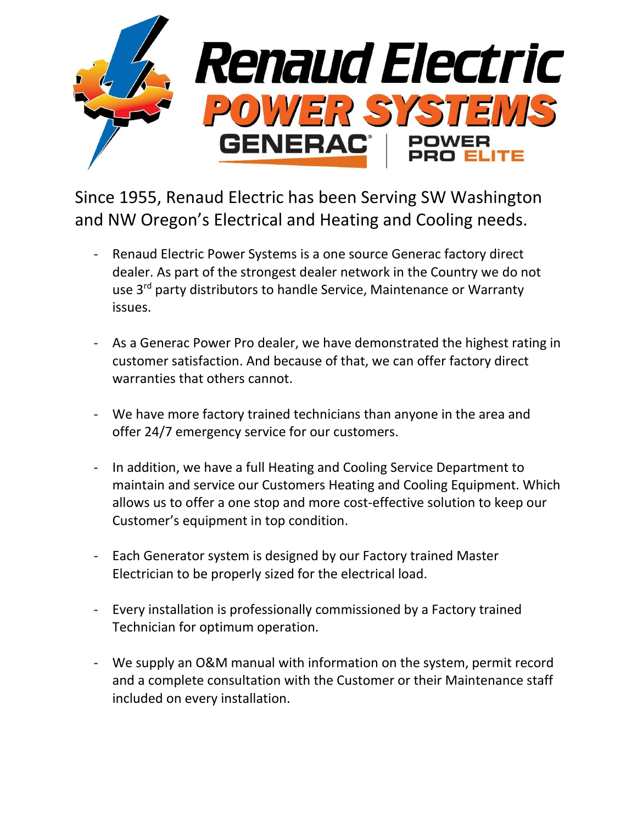

Since 1955, Renaud Electric has been Serving SW Washington and NW Oregon's Electrical and Heating and Cooling needs.

- Renaud Electric Power Systems is a one source Generac factory direct dealer. As part of the strongest dealer network in the Country we do not use 3<sup>rd</sup> party distributors to handle Service, Maintenance or Warranty issues.
- As a Generac Power Pro dealer, we have demonstrated the highest rating in customer satisfaction. And because of that, we can offer factory direct warranties that others cannot.
- We have more factory trained technicians than anyone in the area and offer 24/7 emergency service for our customers.
- In addition, we have a full Heating and Cooling Service Department to maintain and service our Customers Heating and Cooling Equipment. Which allows us to offer a one stop and more cost-effective solution to keep our Customer's equipment in top condition.
- Each Generator system is designed by our Factory trained Master Electrician to be properly sized for the electrical load.
- Every installation is professionally commissioned by a Factory trained Technician for optimum operation.
- We supply an O&M manual with information on the system, permit record and a complete consultation with the Customer or their Maintenance staff included on every installation.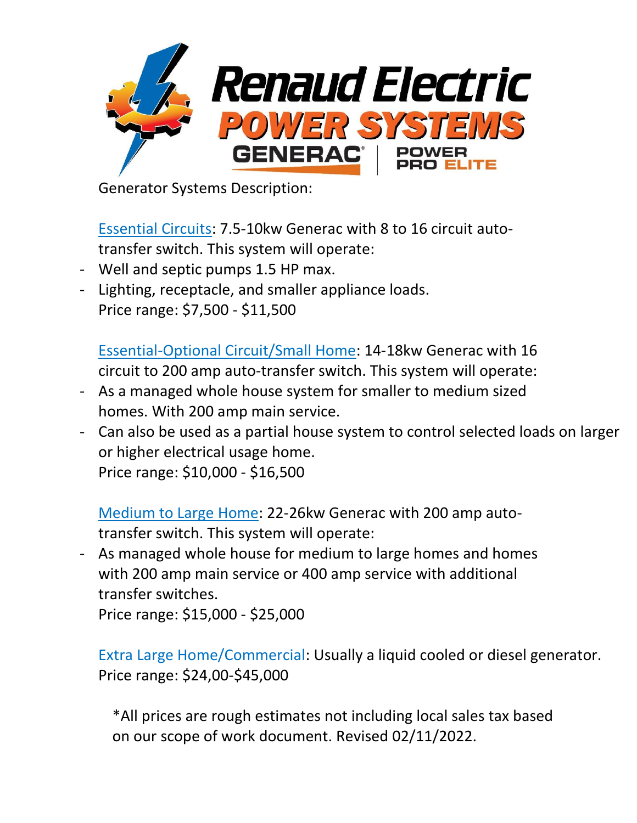

Generator Systems Description:

Essential Circuits: 7.5-10kw Generac with 8 to 16 circuit autotransfer switch. This system will operate:

- Well and septic pumps 1.5 HP max.
- Lighting, receptacle, and smaller appliance loads. Price range: \$7,500 - \$11,500

Essential-Optional Circuit/Small Home: 14-18kw Generac with 16 circuit to 200 amp auto-transfer switch. This system will operate:

- As a managed whole house system for smaller to medium sized homes. With 200 amp main service.
- Can also be used as a partial house system to control selected loads on larger or higher electrical usage home. Price range: \$10,000 - \$16,500

Medium to Large Home: 22-26kw Generac with 200 amp autotransfer switch. This system will operate:

- As managed whole house for medium to large homes and homes with 200 amp main service or 400 amp service with additional transfer switches.

Price range: \$15,000 - \$25,000

Extra Large Home/Commercial: Usually a liquid cooled or diesel generator. Price range: \$24,00-\$45,000

\*All prices are rough estimates not including local sales tax based on our scope of work document. Revised 02/11/2022.